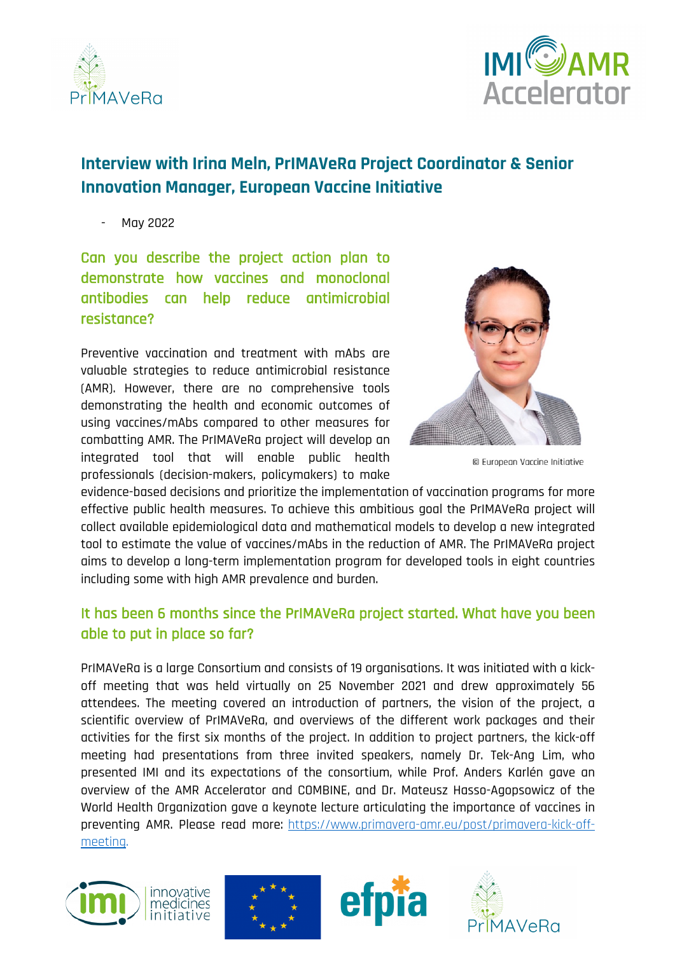



# **Interview with Irina Meln, PrIMAVeRa Project Coordinator & Senior Innovation Manager, European Vaccine Initiative**

- May 2022

Can you describe the project action plan to demonstrate how vaccines and monoclonal antibodies can help reduce antimicrobial resistance?

Preventive vaccination and treatment with mAbs are valuable strategies to reduce antimicrobial resistance (AMR). However, there are no comprehensive tools demonstrating the health and economic outcomes of using vaccines/mAbs compared to other measures for combatting AMR. The PrIMAVeRa project will develop an integrated tool that will enable public health professionals (decision-makers, policymakers) to make



© European Vaccine Initiative

evidence-based decisions and prioritize the implementation of vaccination programs for more effective public health measures. To achieve this ambitious goal the PrIMAVeRa project will collect available epidemiological data and mathematical models to develop a new integrated tool to estimate the value of vaccines/mAbs in the reduction of AMR. The PrIMAVeRa project aims to develop a long-term implementation program for developed tools in eight countries including some with high AMR prevalence and burden.

## It has been 6 months since the PrIMAVeRa project started. What have you been able to put in place so far?

PrIMAVeRa is a large Consortium and consists of 19 organisations. It was initiated with a kickoff meeting that was held virtually on 25 November 2021 and drew approximately 56 attendees. The meeting covered an introduction of partners, the vision of the project, a scientific overview of PrIMAVeRa, and overviews of the different work packages and their activities for the first six months of the project. In addition to project partners, the kick-off meeting had presentations from three invited speakers, namely Dr. Tek-Ang Lim, who presented IMI and its expectations of the consortium, while Prof. Anders Karlén gave an overview of the AMR Accelerator and COMBINE, and Dr. Mateusz Hasso-Agopsowicz of the World Health Organization gave a keynote lecture articulating the importance of vaccines in preventing AMR. Please read more: [https://www.primavera-amr.eu/post/primavera-kick-off](https://www.euvaccine.eu/post/primavera-kick-off-meeting-successfully-marks-the-official-project-launch)[meeting.](https://www.euvaccine.eu/post/primavera-kick-off-meeting-successfully-marks-the-official-project-launch)







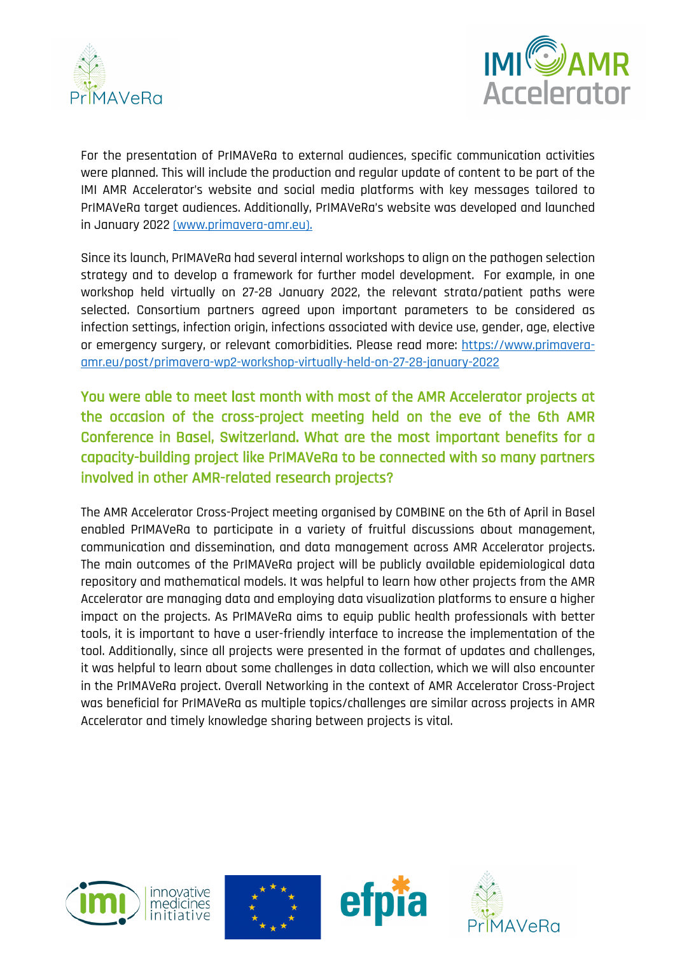



For the presentation of PrIMAVeRa to external audiences, specific communication activities were planned. This will include the production and regular update of content to be part of the IMI AMR Accelerator's website and social media platforms with key messages tailored to PrIMAVeRa target audiences. Additionally, PrIMAVeRa's website was developed and launched in January 2022 (www.primavera-amr.eu).

Since its launch, PrIMAVeRa had several internal workshops to align on the pathogen selection strategy and to develop a framework for further model development. For example, in one workshop held virtually on 27-28 January 2022, the relevant strata/patient paths were selected. Consortium partners agreed upon important parameters to be considered as infection settings, infection origin, infections associated with device use, gender, age, elective or emergency surgery, or relevant comorbidities. Please read more: https://www.primaveraamr.eu/post/primavera-wp2-workshop-virtually-held-on-27-28-january-2022

You were able to meet last month with most of the AMR Accelerator projects at the occasion of the cross-project meeting held on the eve of the 6th AMR Conference in Basel, Switzerland. What are the most important benefits for a capacity-building project like PrIMAVeRa to be connected with so many partners involved in other AMR-related research projects?

The AMR Accelerator Cross-Project meeting organised by COMBINE on the 6th of April in Basel enabled PrIMAVeRa to participate in a variety of fruitful discussions about management, communication and dissemination, and data management across AMR Accelerator projects. The main outcomes of the PrIMAVeRa project will be publicly available epidemiological data repository and mathematical models. It was helpful to learn how other projects from the AMR Accelerator are managing data and employing data visualization platforms to ensure a higher impact on the projects. As PrIMAVeRa aims to equip public health professionals with better tools, it is important to have a user-friendly interface to increase the implementation of the tool. Additionally, since all projects were presented in the format of updates and challenges, it was helpful to learn about some challenges in data collection, which we will also encounter in the PrIMAVeRa project. Overall Networking in the context of AMR Accelerator Cross-Project was beneficial for PrIMAVeRa as multiple topics/challenges are similar across projects in AMR Accelerator and timely knowledge sharing between projects is vital.







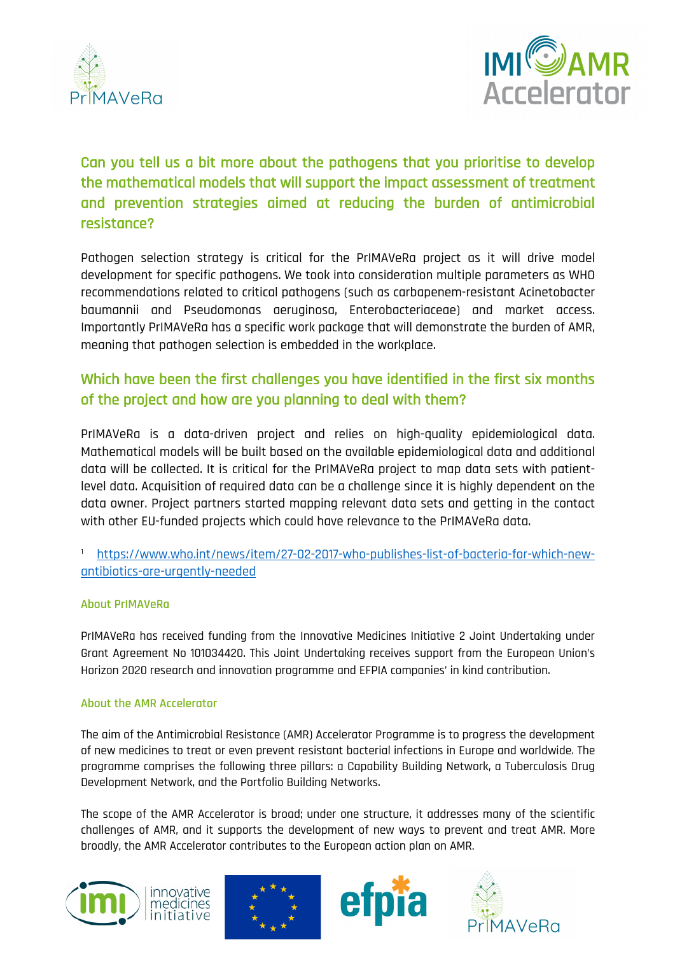



## Can you tell us a bit more about the pathogens that you prioritise to develop the mathematical models that will support the impact assessment of treatment and prevention strategies aimed at reducing the burden of antimicrobial resistance?

Pathogen selection strategy is critical for the PrIMAVeRa project as it will drive model development for specific pathogens. We took into consideration multiple parameters as WHO recommendations related to critical pathogens (such as carbapenem-resistant Acinetobacter baumannii and Pseudomonas aeruginosa, Enterobacteriaceae) and market access. Importantly PrIMAVeRa has a specific work package that will demonstrate the burden of AMR, meaning that pathogen selection is embedded in the workplace.

## Which have been the first challenges you have identified in the first six months of the project and how are you planning to deal with them?

PrIMAVeRa is a data-driven project and relies on high-quality epidemiological data. Mathematical models will be built based on the available epidemiological data and additional data will be collected. It is critical for the PrIMAVeRa project to map data sets with patientlevel data. Acquisition of required data can be a challenge since it is highly dependent on the data owner. Project partners started mapping relevant data sets and getting in the contact with other EU-funded projects which could have relevance to the PrIMAVeRa data.

### <sup>1</sup> https://www.who.int/news/item/27-02-2017-who-publishes-list-of-bacteria-for-which-newantibiotics-are-urgently-needed

### **About PrIMAVeRa**

PrIMAVeRa has received funding from the Innovative Medicines Initiative 2 Joint Undertaking under Grant Agreement No 101034420. This Joint Undertaking receives support from the European Union's Horizon 2020 research and innovation programme and EFPIA companies' in kind contribution.

### **About the AMR Accelerator**

The aim of the Antimicrobial Resistance (AMR) Accelerator Programme is to progress the development of new medicines to treat or even prevent resistant bacterial infections in Europe and worldwide. The programme comprises the following three pillars: a Capability Building Network, a Tuberculosis Drug Development Network, and the Portfolio Building Networks.

The scope of the AMR Accelerator is broad; under one structure, it addresses many of the scientific challenges of AMR, and it supports the development of new ways to prevent and treat AMR. More broadly, the AMR Accelerator contributes to the European action plan on AMR.